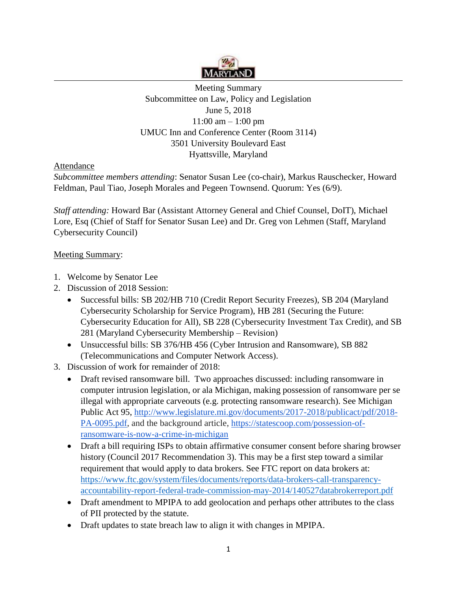

## Meeting Summary Subcommittee on Law, Policy and Legislation June 5, 2018  $11:00 \text{ am} - 1:00 \text{ pm}$ UMUC Inn and Conference Center (Room 3114) 3501 University Boulevard East Hyattsville, Maryland

## Attendance

*Subcommittee members attending*: Senator Susan Lee (co-chair), Markus Rauschecker, Howard Feldman, Paul Tiao, Joseph Morales and Pegeen Townsend. Quorum: Yes (6/9).

*Staff attending:* Howard Bar (Assistant Attorney General and Chief Counsel, DoIT), Michael Lore, Esq (Chief of Staff for Senator Susan Lee) and Dr. Greg von Lehmen (Staff, Maryland Cybersecurity Council)

## Meeting Summary:

- 1. Welcome by Senator Lee
- 2. Discussion of 2018 Session:
	- Successful bills: SB 202/HB 710 (Credit Report Security Freezes), SB 204 (Maryland Cybersecurity Scholarship for Service Program), HB 281 (Securing the Future: Cybersecurity Education for All), SB 228 (Cybersecurity Investment Tax Credit), and SB 281 (Maryland Cybersecurity Membership – Revision)
	- Unsuccessful bills: SB 376/HB 456 (Cyber Intrusion and Ransomware), SB 882 (Telecommunications and Computer Network Access).
- 3. Discussion of work for remainder of 2018:
	- Draft revised ransomware bill. Two approaches discussed: including ransomware in computer intrusion legislation, or ala Michigan, making possession of ransomware per se illegal with appropriate carveouts (e.g. protecting ransomware research). See Michigan Public Act 95, [http://www.legislature.mi.gov/documents/2017-2018/publicact/pdf/2018-](http://www.legislature.mi.gov/documents/2017-2018/publicact/pdf/2018-PA-0095.pdf) [PA-0095.pdf,](http://www.legislature.mi.gov/documents/2017-2018/publicact/pdf/2018-PA-0095.pdf) and the background article, [https://statescoop.com/possession-of](https://statescoop.com/possession-of-ransomware-is-now-a-crime-in-michigan)[ransomware-is-now-a-crime-in-michigan](https://statescoop.com/possession-of-ransomware-is-now-a-crime-in-michigan)
	- Draft a bill requiring ISPs to obtain affirmative consumer consent before sharing browser history (Council 2017 Recommendation 3). This may be a first step toward a similar requirement that would apply to data brokers. See FTC report on data brokers at: [https://www.ftc.gov/system/files/documents/reports/data-brokers-call-transparency](https://www.ftc.gov/system/files/documents/reports/data-brokers-call-transparency-accountability-report-federal-trade-commission-may-2014/140527databrokerreport.pdf)[accountability-report-federal-trade-commission-may-2014/140527databrokerreport.pdf](https://www.ftc.gov/system/files/documents/reports/data-brokers-call-transparency-accountability-report-federal-trade-commission-may-2014/140527databrokerreport.pdf)
	- Draft amendment to MPIPA to add geolocation and perhaps other attributes to the class of PII protected by the statute.
	- Draft updates to state breach law to align it with changes in MPIPA.